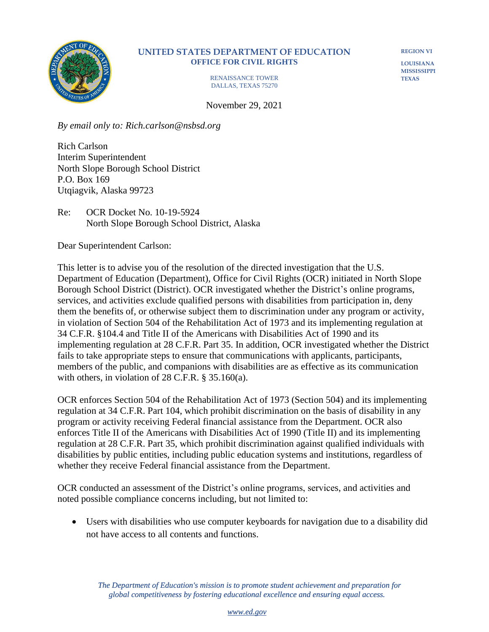

## **UNITED STATES DEPARTMENT OF EDUCATION OFFICE FOR CIVIL RIGHTS**

RENAISSANCE TOWER DALLAS, TEXAS 75270

**REGION VI**

**LOUISIANA MISSISSIPPI TEXAS**

November 29, 2021

*By email only to: Rich.carlson@nsbsd.org*

Rich Carlson Interim Superintendent North Slope Borough School District P.O. Box 169 Utqiagvik, Alaska 99723

Re: OCR Docket No. 10-19-5924 North Slope Borough School District, Alaska

Dear Superintendent Carlson:

This letter is to advise you of the resolution of the directed investigation that the U.S. Department of Education (Department), Office for Civil Rights (OCR) initiated in North Slope Borough School District (District). OCR investigated whether the District's online programs, services, and activities exclude qualified persons with disabilities from participation in, deny them the benefits of, or otherwise subject them to discrimination under any program or activity, in violation of Section 504 of the Rehabilitation Act of 1973 and its implementing regulation at 34 C.F.R. §104.4 and Title II of the Americans with Disabilities Act of 1990 and its implementing regulation at 28 C.F.R. Part 35. In addition, OCR investigated whether the District fails to take appropriate steps to ensure that communications with applicants, participants, members of the public, and companions with disabilities are as effective as its communication with others, in violation of 28 C.F.R. § 35.160(a).

OCR enforces Section 504 of the Rehabilitation Act of 1973 (Section 504) and its implementing regulation at 34 C.F.R. Part 104, which prohibit discrimination on the basis of disability in any program or activity receiving Federal financial assistance from the Department. OCR also enforces Title II of the Americans with Disabilities Act of 1990 (Title II) and its implementing regulation at 28 C.F.R. Part 35, which prohibit discrimination against qualified individuals with disabilities by public entities, including public education systems and institutions, regardless of whether they receive Federal financial assistance from the Department.

OCR conducted an assessment of the District's online programs, services, and activities and noted possible compliance concerns including, but not limited to:

• Users with disabilities who use computer keyboards for navigation due to a disability did not have access to all contents and functions.

 *The Department of Education's mission is to promote student achievement and preparation for*  global competitiveness by fostering educational excellence and ensuring equal access.